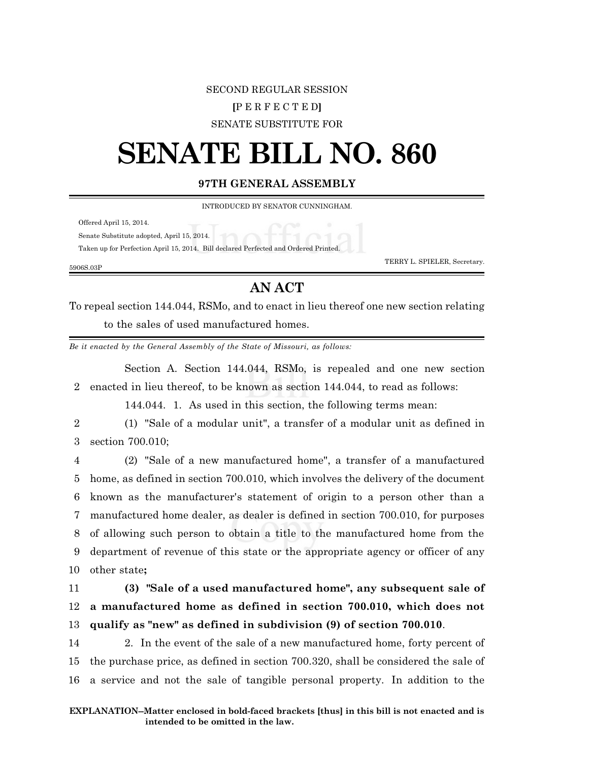## SECOND REGULAR SESSION **[**P E R F E C T E D**]** SENATE SUBSTITUTE FOR

## **SENATE BILL NO. 860**

## **97TH GENERAL ASSEMBLY**

INTRODUCED BY SENATOR CUNNINGHAM.

Offered April 15, 2014.

Senate Substitute adopted, April 15, 2014.

Taken up for Perfection April 15, 2014. Bill declared Perfected and Ordered Printed.

5906S.03P

TERRY L. SPIELER, Secretary.

## **AN ACT**

To repeal section 144.044, RSMo, and to enact in lieu thereof one new section relating to the sales of used manufactured homes.

*Be it enacted by the General Assembly of the State of Missouri, as follows:*

Section A. Section 144.044, RSMo, is repealed and one new section 2 enacted in lieu thereof, to be known as section 144.044, to read as follows:

144.044. 1. As used in this section, the following terms mean:

2 (1) "Sale of a modular unit", a transfer of a modular unit as defined in 3 section 700.010;

 (2) "Sale of a new manufactured home", a transfer of a manufactured home, as defined in section 700.010, which involves the delivery of the document known as the manufacturer's statement of origin to a person other than a manufactured home dealer, as dealer is defined in section 700.010, for purposes of allowing such person to obtain a title to the manufactured home from the department of revenue of this state or the appropriate agency or officer of any other state**;**

11 **(3) "Sale of a used manufactured home", any subsequent sale of** 12 **a manufactured home as defined in section 700.010, which does not** 13 **qualify as "new" as defined in subdivision (9) of section 700.010**.

14 2. In the event of the sale of a new manufactured home, forty percent of 15 the purchase price, as defined in section 700.320, shall be considered the sale of 16 a service and not the sale of tangible personal property. In addition to the